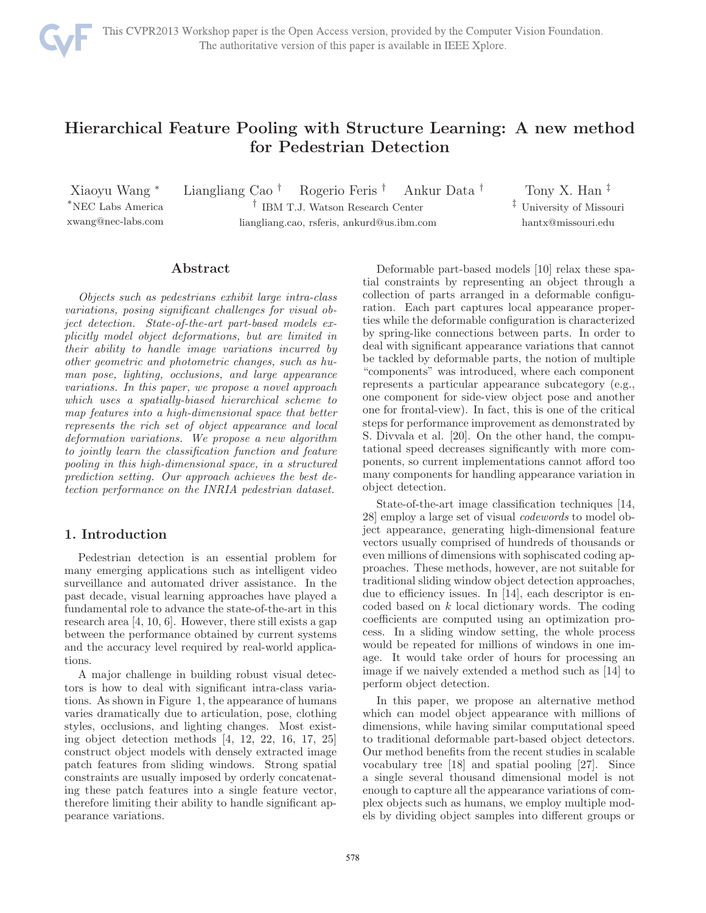

# Hierarchical Feature Pooling with Structure Learning: A new method for Pedestrian Detection

Xiaoyu Wang <sup>∗</sup> <sup>∗</sup>NEC Labs America xwang@nec-labs.com Liangliang Cao † Rogerio Feris † Ankur Data † † IBM T.J. Watson Research Center liangliang.cao, rsferis, ankurd@us.ibm.com

Tony X. Han ‡ ‡ University of Missouri hantx@missouri.edu

## Abstract

Objects such as pedestrians exhibit large intra-class variations, posing significant challenges for visual object detection. State-of-the-art part-based models explicitly model object deformations, but are limited in their ability to handle image variations incurred by other geometric and photometric changes, such as human pose, lighting, occlusions, and large appearance variations. In this paper, we propose a novel approach which uses a spatially-biased hierarchical scheme to map features into a high-dimensional space that better represents the rich set of object appearance and local deformation variations. We propose a new algorithm to jointly learn the classification function and feature pooling in this high-dimensional space, in a structured prediction setting. Our approach achieves the best detection performance on the INRIA pedestrian dataset.

# 1. Introduction

Pedestrian detection is an essential problem for many emerging applications such as intelligent video surveillance and automated driver assistance. In the past decade, visual learning approaches have played a fundamental role to advance the state-of-the-art in this research area [4, 10, 6]. However, there still exists a gap between the performance obtained by current systems and the accuracy level required by real-world applications.

A major challenge in building robust visual detectors is how to deal with significant intra-class variations. As shown in Figure 1, the appearance of humans varies dramatically due to articulation, pose, clothing styles, occlusions, and lighting changes. Most existing object detection methods [4, 12, 22, 16, 17, 25] construct object models with densely extracted image patch features from sliding windows. Strong spatial constraints are usually imposed by orderly concatenating these patch features into a single feature vector, therefore limiting their ability to handle significant appearance variations.

Deformable part-based models [10] relax these spatial constraints by representing an object through a collection of parts arranged in a deformable configuration. Each part captures local appearance properties while the deformable configuration is characterized by spring-like connections between parts. In order to deal with significant appearance variations that cannot be tackled by deformable parts, the notion of multiple "components" was introduced, where each component represents a particular appearance subcategory (e.g., one component for side-view object pose and another one for frontal-view). In fact, this is one of the critical steps for performance improvement as demonstrated by S. Divvala et al. [20]. On the other hand, the computational speed decreases significantly with more components, so current implementations cannot afford too many components for handling appearance variation in object detection.

State-of-the-art image classification techniques [14, 28] employ a large set of visual codewords to model object appearance, generating high-dimensional feature vectors usually comprised of hundreds of thousands or even millions of dimensions with sophiscated coding approaches. These methods, however, are not suitable for traditional sliding window object detection approaches, due to efficiency issues. In [14], each descriptor is encoded based on  $k$  local dictionary words. The coding coefficients are computed using an optimization process. In a sliding window setting, the whole process would be repeated for millions of windows in one image. It would take order of hours for processing an image if we naively extended a method such as [14] to perform object detection.

In this paper, we propose an alternative method which can model object appearance with millions of dimensions, while having similar computational speed to traditional deformable part-based object detectors. Our method benefits from the recent studies in scalable vocabulary tree [18] and spatial pooling [27]. Since a single several thousand dimensional model is not enough to capture all the appearance variations of complex objects such as humans, we employ multiple models by dividing object samples into different groups or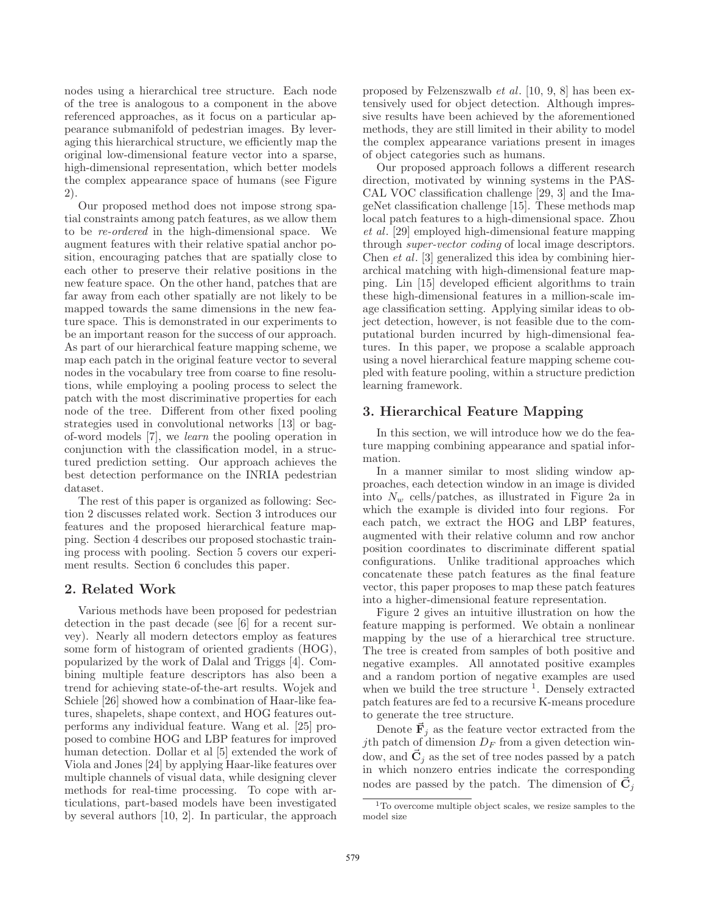nodes using a hierarchical tree structure. Each node of the tree is analogous to a component in the above referenced approaches, as it focus on a particular appearance submanifold of pedestrian images. By leveraging this hierarchical structure, we efficiently map the original low-dimensional feature vector into a sparse, high-dimensional representation, which better models the complex appearance space of humans (see Figure 2).

Our proposed method does not impose strong spatial constraints among patch features, as we allow them to be re-ordered in the high-dimensional space. We augment features with their relative spatial anchor position, encouraging patches that are spatially close to each other to preserve their relative positions in the new feature space. On the other hand, patches that are far away from each other spatially are not likely to be mapped towards the same dimensions in the new feature space. This is demonstrated in our experiments to be an important reason for the success of our approach. As part of our hierarchical feature mapping scheme, we map each patch in the original feature vector to several nodes in the vocabulary tree from coarse to fine resolutions, while employing a pooling process to select the patch with the most discriminative properties for each node of the tree. Different from other fixed pooling strategies used in convolutional networks [13] or bagof-word models [7], we learn the pooling operation in conjunction with the classification model, in a structured prediction setting. Our approach achieves the best detection performance on the INRIA pedestrian dataset.

The rest of this paper is organized as following: Section 2 discusses related work. Section 3 introduces our features and the proposed hierarchical feature mapping. Section 4 describes our proposed stochastic training process with pooling. Section 5 covers our experiment results. Section 6 concludes this paper.

#### 2. Related Work

Various methods have been proposed for pedestrian detection in the past decade (see [6] for a recent survey). Nearly all modern detectors employ as features some form of histogram of oriented gradients (HOG), popularized by the work of Dalal and Triggs [4]. Combining multiple feature descriptors has also been a trend for achieving state-of-the-art results. Wojek and Schiele [26] showed how a combination of Haar-like features, shapelets, shape context, and HOG features outperforms any individual feature. Wang et al. [25] proposed to combine HOG and LBP features for improved human detection. Dollar et al [5] extended the work of Viola and Jones [24] by applying Haar-like features over multiple channels of visual data, while designing clever methods for real-time processing. To cope with articulations, part-based models have been investigated by several authors [10, 2]. In particular, the approach proposed by Felzenszwalb et al. [10, 9, 8] has been extensively used for object detection. Although impressive results have been achieved by the aforementioned methods, they are still limited in their ability to model the complex appearance variations present in images of object categories such as humans.

Our proposed approach follows a different research direction, motivated by winning systems in the PAS-CAL VOC classification challenge [29, 3] and the ImageNet classification challenge [15]. These methods map local patch features to a high-dimensional space. Zhou et al. [29] employed high-dimensional feature mapping through super-vector coding of local image descriptors. Chen et al. [3] generalized this idea by combining hierarchical matching with high-dimensional feature mapping. Lin [15] developed efficient algorithms to train these high-dimensional features in a million-scale image classification setting. Applying similar ideas to object detection, however, is not feasible due to the computational burden incurred by high-dimensional features. In this paper, we propose a scalable approach using a novel hierarchical feature mapping scheme coupled with feature pooling, within a structure prediction learning framework.

## 3. Hierarchical Feature Mapping

In this section, we will introduce how we do the feature mapping combining appearance and spatial information.

In a manner similar to most sliding window approaches, each detection window in an image is divided into  $N_w$  cells/patches, as illustrated in Figure 2a in which the example is divided into four regions. For each patch, we extract the HOG and LBP features, augmented with their relative column and row anchor position coordinates to discriminate different spatial configurations. Unlike traditional approaches which concatenate these patch features as the final feature vector, this paper proposes to map these patch features into a higher-dimensional feature representation.

Figure 2 gives an intuitive illustration on how the feature mapping is performed. We obtain a nonlinear mapping by the use of a hierarchical tree structure. The tree is created from samples of both positive and negative examples. All annotated positive examples and a random portion of negative examples are used when we build the tree structure <sup>1</sup>. Densely extracted patch features are fed to a recursive K-means procedure to generate the tree structure.

Denote  $\vec{F}_j$  as the feature vector extracted from the jth patch of dimension  $D_F$  from a given detection window, and  $\vec{\mathbf{C}}_j$  as the set of tree nodes passed by a patch in which nonzero entries indicate the corresponding nodes are passed by the patch. The dimension of  $\vec{C}_j$ 

<sup>1</sup>To overcome multiple object scales, we resize samples to the model size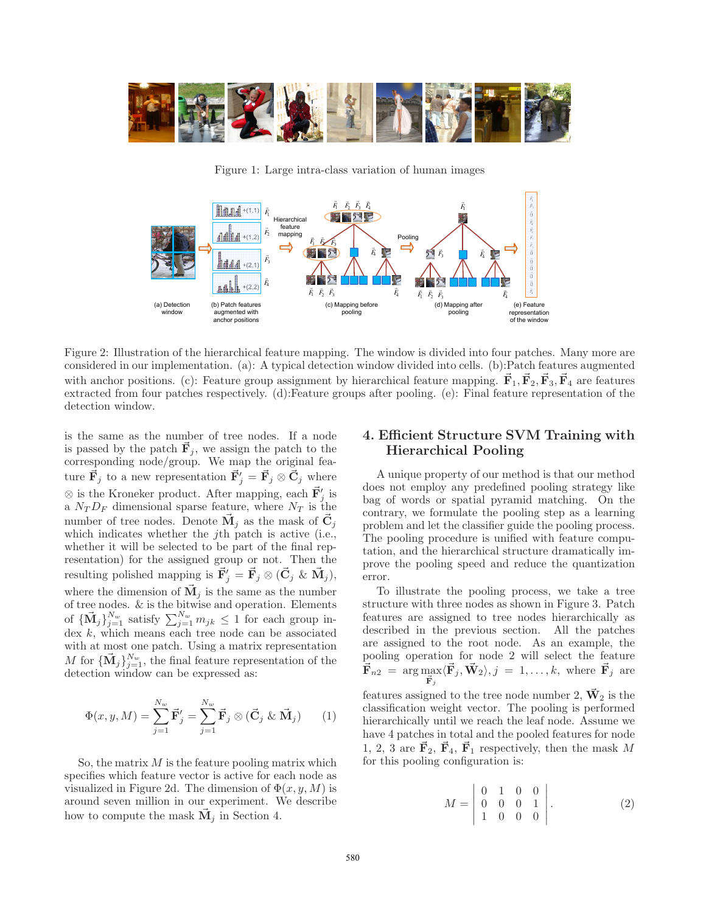

Figure 1: Large intra-class variation of human images



Figure 2: Illustration of the hierarchical feature mapping. The window is divided into four patches. Many more are considered in our implementation. (a): A typical detection window divided into cells. (b):Patch features augmented with anchor positions. (c): Feature group assignment by hierarchical feature mapping.  $\vec{F}_1$ ,  $\vec{F}_2$ ,  $\vec{F}_3$ ,  $\vec{F}_4$  are features extracted from four patches respectively. (d):Feature groups after pooling. (e): Final feature representation of the detection window.

is the same as the number of tree nodes. If a node is passed by the patch  $\vec{F}_j$ , we assign the patch to the corresponding node/group. We map the original feature  $\vec{F}_j$  to a new representation  $\vec{F}'_j = \vec{F}_j \otimes \vec{C}_j$  where  $\otimes$  is the Kroneker product. After mapping, each  $\vec{F}'_j$  is a  $N_T D_F$  dimensional sparse feature, where  $N_T$  is the number of tree nodes. Denote  $\vec{M}_j$  as the mask of  $\vec{C}_j$ which indicates whether the jth patch is active (i.e., whether it will be selected to be part of the final representation) for the assigned group or not. Then the resulting polished mapping is  $\vec{F}'_j = \vec{F}_j \otimes (\vec{C}_j \& \vec{M}_j),$ where the dimension of  $\vec{M}_j$  is the same as the number of tree nodes. & is the bitwise and operation. Elements of  ${\{\vec{M}_j\}}_{j=1}^{N_w}$  satisfy  $\sum_{j=1}^{N_w} m_{jk} \leq 1$  for each group index  $k$ , which means each tree node can be associated with at most one patch. Using a matrix representation M for  ${\{\vec{M}_j\}}_{j=1}^{N_w}$ , the final feature representation of the detection window can be expressed as:

$$
\Phi(x, y, M) = \sum_{j=1}^{N_w} \vec{\mathbf{F}}'_j = \sum_{j=1}^{N_w} \vec{\mathbf{F}}_j \otimes (\vec{\mathbf{C}}_j \& \vec{\mathbf{M}}_j) \qquad (1)
$$

So, the matrix  $M$  is the feature pooling matrix which specifies which feature vector is active for each node as visualized in Figure 2d. The dimension of  $\Phi(x, y, M)$  is around seven million in our experiment. We describe how to compute the mask  $\vec{M}_j$  in Section 4.

# 4. Efficient Structure SVM Training with Hierarchical Pooling

A unique property of our method is that our method does not employ any predefined pooling strategy like bag of words or spatial pyramid matching. On the contrary, we formulate the pooling step as a learning problem and let the classifier guide the pooling process. The pooling procedure is unified with feature computation, and the hierarchical structure dramatically improve the pooling speed and reduce the quantization error.

To illustrate the pooling process, we take a tree structure with three nodes as shown in Figure 3. Patch features are assigned to tree nodes hierarchically as described in the previous section. All the patches are assigned to the root node. As an example, the pooling operation for node 2 will select the feature  $\vec{\mathbf{F}}_{n2}~=~\arg\max_{\vec{\mathbf{F}}_j}$  $\langle \vec{F}_j, \vec{W}_2 \rangle, j = 1, \ldots, k$ , where  $\vec{F}_j$  are features assigned to the tree node number 2,  $\vec{W}_2$  is the classification weight vector. The pooling is performed hierarchically until we reach the leaf node. Assume we have 4 patches in total and the pooled features for node 1, 2, 3 are  $\vec{F}_2$ ,  $\vec{F}_4$ ,  $\vec{F}_1$  respectively, then the mask M

for this pooling configuration is:

$$
M = \left| \begin{array}{cccc} 0 & 1 & 0 & 0 \\ 0 & 0 & 0 & 1 \\ 1 & 0 & 0 & 0 \end{array} \right|.
$$
 (2)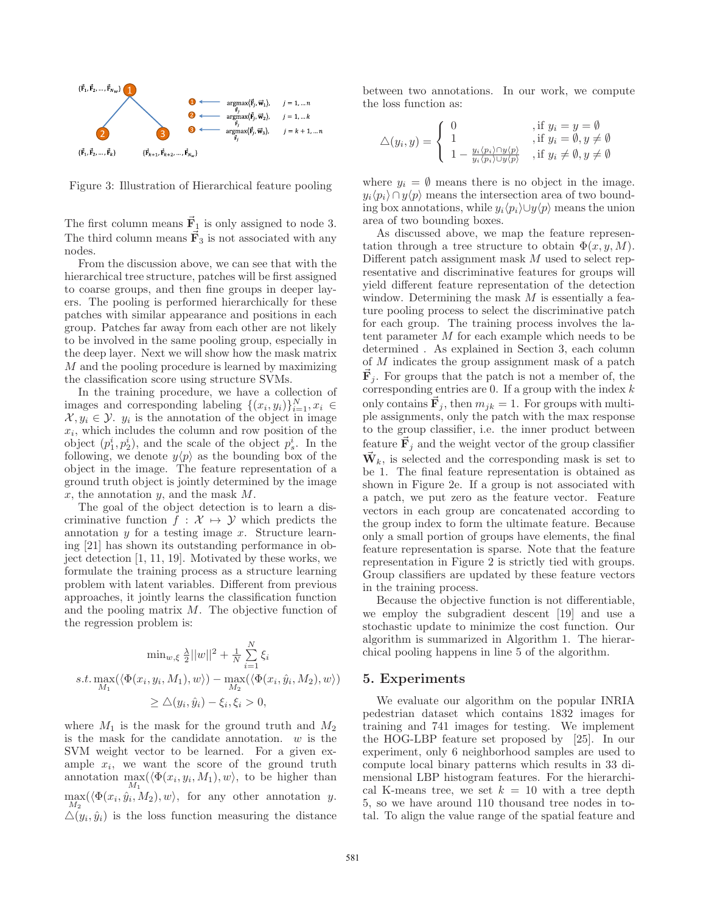

Figure 3: Illustration of Hierarchical feature pooling

The first column means  $\vec{F}_1$  is only assigned to node 3. The third column means  $\vec{F}_3$  is not associated with any nodes.

From the discussion above, we can see that with the hierarchical tree structure, patches will be first assigned to coarse groups, and then fine groups in deeper layers. The pooling is performed hierarchically for these patches with similar appearance and positions in each group. Patches far away from each other are not likely to be involved in the same pooling group, especially in the deep layer. Next we will show how the mask matrix M and the pooling procedure is learned by maximizing the classification score using structure SVMs.

In the training procedure, we have a collection of images and corresponding labeling  $\{(x_i, y_i)\}_{i=1}^N, x_i \in$  $\mathcal{X}, y_i \in \mathcal{Y}, y_i$  is the annotation of the object in image  $x_i$ , which includes the column and row position of the object  $(p_1^i, p_2^i)$ , and the scale of the object  $p_s^i$ . In the following, we denote  $y\langle p \rangle$  as the bounding box of the object in the image. The feature representation of a ground truth object is jointly determined by the image x, the annotation  $y$ , and the mask  $M$ .

The goal of the object detection is to learn a discriminative function  $f : \mathcal{X} \mapsto \mathcal{Y}$  which predicts the annotation  $y$  for a testing image  $x$ . Structure learning [21] has shown its outstanding performance in object detection [1, 11, 19]. Motivated by these works, we formulate the training process as a structure learning problem with latent variables. Different from previous approaches, it jointly learns the classification function and the pooling matrix  $M$ . The objective function of the regression problem is:

$$
\min_{w,\xi} \frac{\lambda}{2} ||w||^2 + \frac{1}{N} \sum_{i=1}^N \xi_i
$$
  
s.t. 
$$
\max_{M_1} (\langle \Phi(x_i, y_i, M_1), w \rangle) - \max_{M_2} (\langle \Phi(x_i, \hat{y}_i, M_2), w \rangle)
$$

$$
\geq \Delta(y_i, \hat{y}_i) - \xi_i, \xi_i > 0,
$$

where  $M_1$  is the mask for the ground truth and  $M_2$ is the mask for the candidate annotation.  $w$  is the SVM weight vector to be learned. For a given example  $x_i$ , we want the score of the ground truth annotation  $\max_{M_1} (\langle \Phi(x_i, y_i, M_1), w \rangle)$ , to be higher than  $\max_{M_2} (\langle \Phi(x_i, \hat{y}_i, M_2), w \rangle)$ , for any other annotation y.  $\Delta(y_i, \hat{y}_i)$  is the loss function measuring the distance between two annotations. In our work, we compute the loss function as:

$$
\triangle(y_i, y) = \begin{cases}\n0 & \text{, if } y_i = y = \emptyset \\
1 & \text{, if } y_i = \emptyset, y \neq \emptyset \\
1 - \frac{y_i \langle p_i \rangle \cap y \langle p \rangle}{y_i \langle p_i \rangle \cup y \langle p \rangle} & \text{, if } y_i \neq \emptyset, y \neq \emptyset\n\end{cases}
$$

where  $y_i = \emptyset$  means there is no object in the image.  $y_i\langle p_i\rangle \cap y\langle p\rangle$  means the intersection area of two bounding box annotations, while  $y_i \langle p_i \rangle \cup y \langle p \rangle$  means the union area of two bounding boxes.

As discussed above, we map the feature representation through a tree structure to obtain  $\Phi(x, y, M)$ . Different patch assignment mask M used to select representative and discriminative features for groups will yield different feature representation of the detection window. Determining the mask  $M$  is essentially a feature pooling process to select the discriminative patch for each group. The training process involves the latent parameter M for each example which needs to be determined . As explained in Section 3, each column of M indicates the group assignment mask of a patch  $\vec{F}_j$ . For groups that the patch is not a member of, the corresponding entries are 0. If a group with the index  $k$ only contains  $\vec{F}_j$ , then  $m_{jk} = 1$ . For groups with multiple assignments, only the patch with the max response to the group classifier, i.e. the inner product between feature  $\vec{F}_j$  and the weight vector of the group classifier  $\vec{\mathbf{W}}_k$ , is selected and the corresponding mask is set to be 1. The final feature representation is obtained as shown in Figure 2e. If a group is not associated with a patch, we put zero as the feature vector. Feature vectors in each group are concatenated according to the group index to form the ultimate feature. Because only a small portion of groups have elements, the final feature representation is sparse. Note that the feature representation in Figure 2 is strictly tied with groups. Group classifiers are updated by these feature vectors in the training process.

Because the objective function is not differentiable, we employ the subgradient descent [19] and use a stochastic update to minimize the cost function. Our algorithm is summarized in Algorithm 1. The hierarchical pooling happens in line 5 of the algorithm.

## 5. Experiments

We evaluate our algorithm on the popular INRIA pedestrian dataset which contains 1832 images for training and 741 images for testing. We implement the HOG-LBP feature set proposed by [25]. In our experiment, only 6 neighborhood samples are used to compute local binary patterns which results in 33 dimensional LBP histogram features. For the hierarchical K-means tree, we set  $k = 10$  with a tree depth 5, so we have around 110 thousand tree nodes in total. To align the value range of the spatial feature and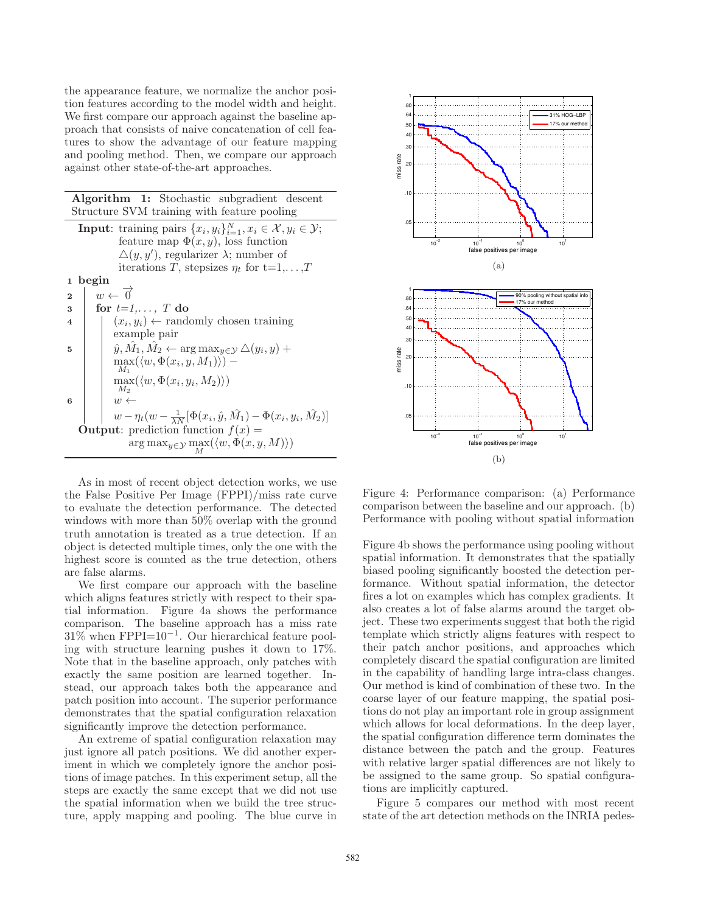the appearance feature, we normalize the anchor position features according to the model width and height. We first compare our approach against the baseline approach that consists of naive concatenation of cell features to show the advantage of our feature mapping and pooling method. Then, we compare our approach against other state-of-the-art approaches.

| <b>Algorithm 1:</b> Stochastic subgradient descent<br>Structure SVM training with feature pooling |                                                                                                                                                                                                   |
|---------------------------------------------------------------------------------------------------|---------------------------------------------------------------------------------------------------------------------------------------------------------------------------------------------------|
|                                                                                                   | <b>Input:</b> training pairs $\{x_i, y_i\}_{i=1}^N, x_i \in \mathcal{X}, y_i \in \mathcal{Y};$<br>feature map $\Phi(x, y)$ , loss function<br>$\Delta(y, y')$ , regularizer $\lambda$ ; number of |
|                                                                                                   | iterations T, stepsizes $\eta_t$ for $t=1,\ldots,T$                                                                                                                                               |
| $\mathbf{1}$                                                                                      | begin                                                                                                                                                                                             |
| $\overline{2}$                                                                                    | $w \leftarrow \overrightarrow{0}$                                                                                                                                                                 |
| 3                                                                                                 | for $t=1,\ldots,T$ do                                                                                                                                                                             |
| $\overline{\mathbf{4}}$                                                                           | $(x_i, y_i) \leftarrow$ randomly chosen training                                                                                                                                                  |
|                                                                                                   | example pair                                                                                                                                                                                      |
| 5                                                                                                 | $\hat{y}, \hat{M}_1, \hat{M}_2 \leftarrow \arg \max_{y \in \mathcal{Y}} \triangle(y_i, y) +$                                                                                                      |
|                                                                                                   | $\max(\langle w, \Phi(x_i, y, M_1) \rangle)$ –                                                                                                                                                    |
|                                                                                                   |                                                                                                                                                                                                   |
|                                                                                                   | $\max(\langle w, \Phi(x_i, y_i, M_2) \rangle)$<br>$M_2$                                                                                                                                           |
| 6                                                                                                 | $w \leftarrow$                                                                                                                                                                                    |
|                                                                                                   | $w - \eta_t(w - \frac{1}{\lambda N}[\Phi(x_i, \hat{y}, \hat{M}_1) - \Phi(x_i, y_i, \hat{M}_2)]$                                                                                                   |
|                                                                                                   | <b>Output:</b> prediction function $f(x) =$                                                                                                                                                       |
|                                                                                                   | $\arg \max_{y \in \mathcal{Y}} \max_{M} (\langle w, \Phi(x, y, M) \rangle)$                                                                                                                       |

As in most of recent object detection works, we use the False Positive Per Image (FPPI)/miss rate curve to evaluate the detection performance. The detected windows with more than 50% overlap with the ground truth annotation is treated as a true detection. If an object is detected multiple times, only the one with the highest score is counted as the true detection, others are false alarms.

We first compare our approach with the baseline which aligns features strictly with respect to their spatial information. Figure 4a shows the performance comparison. The baseline approach has a miss rate 31% when FPPI=10<sup>−</sup><sup>1</sup> . Our hierarchical feature pooling with structure learning pushes it down to 17%. Note that in the baseline approach, only patches with exactly the same position are learned together. Instead, our approach takes both the appearance and patch position into account. The superior performance demonstrates that the spatial configuration relaxation significantly improve the detection performance.

An extreme of spatial configuration relaxation may just ignore all patch positions. We did another experiment in which we completely ignore the anchor positions of image patches. In this experiment setup, all the steps are exactly the same except that we did not use the spatial information when we build the tree structure, apply mapping and pooling. The blue curve in



Figure 4: Performance comparison: (a) Performance comparison between the baseline and our approach. (b) Performance with pooling without spatial information

Figure 4b shows the performance using pooling without spatial information. It demonstrates that the spatially biased pooling significantly boosted the detection performance. Without spatial information, the detector fires a lot on examples which has complex gradients. It also creates a lot of false alarms around the target object. These two experiments suggest that both the rigid template which strictly aligns features with respect to their patch anchor positions, and approaches which completely discard the spatial configuration are limited in the capability of handling large intra-class changes. Our method is kind of combination of these two. In the coarse layer of our feature mapping, the spatial positions do not play an important role in group assignment which allows for local deformations. In the deep layer, the spatial configuration difference term dominates the distance between the patch and the group. Features with relative larger spatial differences are not likely to be assigned to the same group. So spatial configurations are implicitly captured.

Figure 5 compares our method with most recent state of the art detection methods on the INRIA pedes-